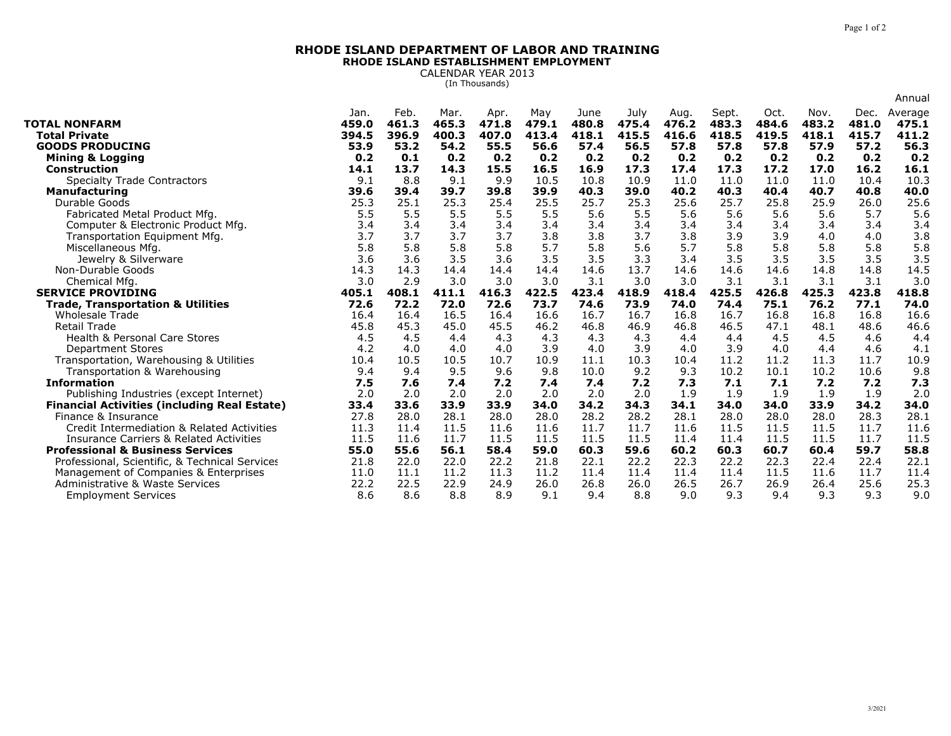## **RHODE ISLAND DEPARTMENT OF LABOR AND TRAININGRHODE ISLAND ESTABLISHMENT EMPLOYMENT**

CALENDAR YEAR 2013 (In Thousands)

|                                                     |                        |                        |                        |                        |                       |                        |                        |                        |                         |                        |                        |                        | Annual                    |
|-----------------------------------------------------|------------------------|------------------------|------------------------|------------------------|-----------------------|------------------------|------------------------|------------------------|-------------------------|------------------------|------------------------|------------------------|---------------------------|
| <b>TOTAL NONFARM</b><br><b>Total Private</b>        | Jan.<br>459.0<br>394.5 | Feb.<br>461.3<br>396.9 | Mar.<br>465.3<br>400.3 | Apr.<br>471.8<br>407.0 | May<br>479.1<br>413.4 | June<br>480.8<br>418.1 | July<br>475.4<br>415.5 | Aug.<br>476.2<br>416.6 | Sept.<br>483.3<br>418.5 | Oct.<br>484.6<br>419.5 | Nov.<br>483.2<br>418.1 | Dec.<br>481.0<br>415.7 | Average<br>475.1<br>411.2 |
| <b>GOODS PRODUCING</b>                              | 53.9                   | 53.2                   | 54.2                   | 55.5                   | 56.6                  | 57.4                   | 56.5                   | 57.8                   | 57.8                    | 57.8                   | 57.9                   | 57.2                   | 56.3                      |
| <b>Mining &amp; Logging</b>                         | 0.2                    | 0.1                    | 0.2                    | 0.2                    | 0.2                   | 0.2                    | 0.2                    | 0.2                    | 0.2                     | 0.2                    | 0.2                    | 0.2                    | 0.2                       |
| <b>Construction</b>                                 | 14.1                   | 13.7                   | 14.3                   | 15.5                   | 16.5                  | 16.9                   | 17.3                   | 17.4                   | 17.3                    | 17.2                   | 17.0                   | 16.2                   | 16.1                      |
| <b>Specialty Trade Contractors</b>                  | 9.1                    | 8.8                    | 9.1                    | 9.9                    | 10.5                  | 10.8                   | 10.9                   | 11.0                   | 11.0                    | 11.0                   | 11.0                   | 10.4                   | 10.3                      |
| <b>Manufacturing</b>                                | 39.6                   | 39.4                   | 39.7                   | 39.8                   | 39.9                  | 40.3                   | 39.0                   | 40.2                   | 40.3                    | 40.4                   | 40.7                   | 40.8                   | 40.0                      |
| Durable Goods                                       | 25.3                   | 25.1                   | 25.3                   | 25.4                   | 25.5                  | 25.7                   | 25.3                   | 25.6                   | 25.7                    | 25.8                   | 25.9                   | 26.0                   | 25.6                      |
| Fabricated Metal Product Mfg.                       | 5.5                    | 5.5                    | 5.5                    | 5.5                    | 5.5                   | 5.6                    | 5.5                    | 5.6                    | 5.6                     | 5.6                    | 5.6                    | 5.7                    | 5.6                       |
| Computer & Electronic Product Mfg.                  | 3.4                    | 3.4                    | 3.4                    | 3.4                    | 3.4                   | 3.4                    | 3.4                    | 3.4                    | 3.4                     | 3.4                    | 3.4                    | 3.4                    | 3.4                       |
| Transportation Equipment Mfg.                       | 3.7                    | 3.7                    | 3.7                    | 3.7                    | 3.8                   | 3.8                    | 3.7                    | 3.8                    | 3.9                     | 3.9                    | 4.0                    | 4.0                    | 3.8                       |
| Miscellaneous Mfg.                                  | 5.8                    | 5.8                    | 5.8                    | 5.8                    | 5.7                   | 5.8                    | 5.6                    | 5.7                    | 5.8                     | 5.8                    | 5.8                    | 5.8                    | 5.8                       |
| Jewelry & Silverware                                | 3.6                    | 3.6                    | 3.5                    | 3.6                    | 3.5                   | 3.5                    | 3.3                    | 3.4                    | 3.5                     | 3.5                    | 3.5                    | 3.5                    | 3.5                       |
| Non-Durable Goods                                   | 14.3                   | 14.3                   | 14.4                   | 14.4                   | 14.4                  | 14.6                   | 13.7                   | 14.6                   | 14.6                    | 14.6                   | 14.8                   | 14.8                   | 14.5                      |
| Chemical Mfg                                        | 3.0                    | 2.9                    | 3.0                    | 3.0                    | 3.0                   | 3.1                    | 3.0                    | 3.0                    | 3.1                     | 3.1                    | 3.1                    | 3.1                    | 3.0                       |
| <b>SERVICE PROVIDING</b>                            | 405.1                  | 408.1                  | 411.1                  | 416.3                  | 422.5                 | 423.4                  | 418.9                  | 418.4                  | 425.5                   | 426.8                  | 425.3                  | 423.8                  | 418.8                     |
| <b>Trade, Transportation &amp; Utilities</b>        | 72.6                   | 72.2                   | 72.0                   | 72.6                   | 73.7                  | 74.6                   | 73.9                   | 74.0                   | 74.4                    | 75.1                   | 76.2                   | 77.1                   | 74.0                      |
| <b>Wholesale Trade</b>                              | 16.4                   | 16.4                   | 16.5                   | 16.4                   | 16.6                  | 16.7                   | 16.7                   | 16.8                   | 16.7                    | 16.8                   | 16.8                   | 16.8                   | 16.6                      |
| <b>Retail Trade</b>                                 | 45.8                   | 45.3                   | 45.0                   | 45.5                   | 46.2                  | 46.8                   | 46.9                   | 46.8                   | 46.5                    | 47.1                   | 48.1                   | 48.6                   | 46.6                      |
| <b>Health &amp; Personal Care Stores</b>            | 4.5                    | 4.5                    | 4.4                    | 4.3                    | 4.3                   | 4.3                    | 4.3                    | 4.4                    | 4.4                     | 4.5                    | 4.5                    | 4.6                    | 4.4                       |
| <b>Department Stores</b>                            | 4.2                    | 4.0                    | 4.0                    | 4.0                    | 3.9                   | 4.0                    | 3.9                    | 4.0                    | 3.9                     | 4.0                    | 4.4                    | 4.6                    | 4.1                       |
| Transportation, Warehousing & Utilities             | 10.4                   | 10.5                   | 10.5                   | 10.7                   | 10.9                  | 11.1                   | 10.3                   | 10.4                   | 11.2                    | 11.2                   | 11.3                   | 11.7                   | 10.9                      |
| Transportation & Warehousing                        | 9.4                    | 9.4                    | 9.5                    | 9.6                    | 9.8                   | 10.0                   | 9.2                    | 9.3                    | 10.2                    | 10.1                   | 10.2                   | 10.6                   | 9.8                       |
| <b>Information</b>                                  | 7.5                    | 7.6                    | 7.4                    | 7.2                    | 7.4                   | 7.4                    | 7.2                    | 7.3                    | 7.1                     | 7.1                    | 7.2                    | 7.2                    | 7.3                       |
| Publishing Industries (except Internet)             | 2.0                    | 2.0                    | 2.0                    | 2.0                    | 2.0                   | 2.0                    | 2.0                    | 1.9                    | 1.9                     | 1.9                    | 1.9                    | 1.9                    | 2.0                       |
| <b>Financial Activities (including Real Estate)</b> | 33.4                   | 33.6                   | 33.9                   | 33.9                   | 34.0                  | 34.2                   | 34.3                   | 34.1                   | 34.0                    | 34.0                   | 33.9                   | 34.2                   | 34.0                      |
| Finance & Insurance                                 | 27.8                   | 28.0                   | 28.1                   | 28.0                   | 28.0                  | 28.2                   | 28.2                   | 28.1                   | 28.0                    | 28.0                   | 28.0                   | 28.3                   | 28.1                      |
| Credit Intermediation & Related Activities          | 11.3                   | 11.4                   | 11.5                   | 11.6                   | 11.6                  | 11.7                   | 11.7                   | 11.6                   | 11.5                    | 11.5                   | 11.5                   | 11.7                   | 11.6                      |
| <b>Insurance Carriers &amp; Related Activities</b>  | 11.5                   | 11.6                   | 11.7                   | 11.5                   | 11.5                  | 11.5                   | 11.5                   | 11.4                   | 11.4                    | 11.5                   | 11.5                   | 11.7                   | 11.5                      |
| <b>Professional &amp; Business Services</b>         | 55.0                   | 55.6                   | 56.1                   | 58.4                   | 59.0                  | 60.3                   | 59.6                   | 60.2                   | 60.3                    | 60.7                   | 60.4                   | 59.7                   | 58.8                      |
| Professional, Scientific, & Technical Services      | 21.8                   | 22.0                   | 22.0                   | 22.2                   | 21.8                  | 22.1                   | 22.2                   | 22.3                   | 22.2                    | 22.3                   | 22.4                   | 22.4                   | 22.1                      |
| Management of Companies & Enterprises               | 11.0                   | 11.1                   | 11.2                   | 11.3                   | 11.2                  | 11.4                   | 11.4                   | 11.4                   | 11.4                    | 11.5                   | 11.6                   | 11.7                   | 11.4                      |
| Administrative & Waste Services                     | 22.2                   | 22.5                   | 22.9                   | 24.9                   | 26.0                  | 26.8                   | 26.0                   | 26.5                   | 26.7                    | 26.9                   | 26.4                   | 25.6                   | 25.3                      |
| <b>Employment Services</b>                          | 8.6                    | 8.6                    | 8.8                    | 8.9                    | 9.1                   | 9.4                    | 8.8                    | 9.0                    | 9.3                     | 9.4                    | 9.3                    | 9.3                    | 9.0                       |